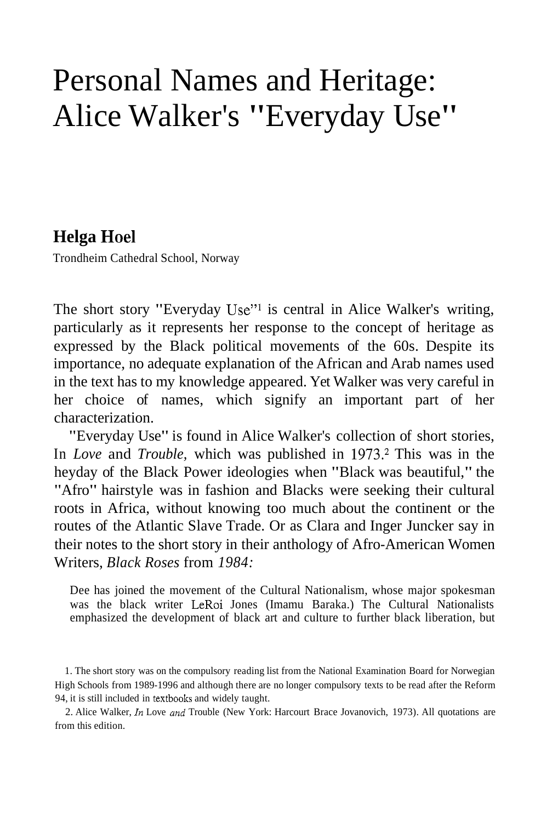# Personal Names and Heritage: Alice Walker's "Everyday Use"

# **Helga Hoe1**

Trondheim Cathedral School, Norway

The short story "Everyday Use"<sup>1</sup> is central in Alice Walker's writing, particularly as it represents her response to the concept of heritage as expressed by the Black political movements of the 60s. Despite its importance, no adequate explanation of the African and Arab names used in the text has to my knowledge appeared. Yet Walker was very careful in her choice of names, which signify an important part of her characterization.

"Everyday Use" is found in Alice Walker's collection of short stories, In *Love* and *Trouble,* which was published in 1973.2 This was in the heyday of the Black Power ideologies when "Black was beautiful," the "Afro" hairstyle was in fashion and Blacks were seeking their cultural roots in Africa, without knowing too much about the continent or the routes of the Atlantic Slave Trade. Or as Clara and Inger Juncker say in their notes to the short story in their anthology of Afro-American Women Writers, *Black Roses* from *1984:* 

Dee has joined the movement of the Cultural Nationalism, whose major spokesman was the black writer LeRoi Jones (Imamu Baraka.) The Cultural Nationalists emphasized the development of black art and culture to further black liberation, but

2. Alice Walker, *In* Love and Trouble (New York: Harcourt Brace Jovanovich, 1973). All quotations are from this edition.

<sup>1.</sup> The short story was on the compulsory reading list from the National Examination Board for Norwegian High Schools from 1989-1996 and although there are no longer compulsory texts to be read after the Reform 94, it is still included in textbooks and widely taught.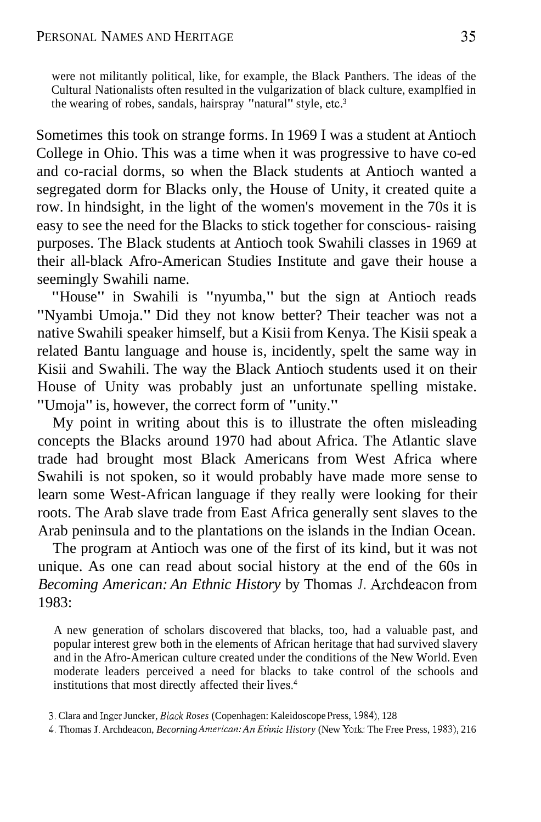were not militantly political, like, for example, the Black Panthers. The ideas of the Cultural Nationalists often resulted in the vulgarization of black culture, examplfied in the wearing of robes, sandals, hairspray "natural" style, etc. $3$ 

Sometimes this took on strange forms. In 1969 I was a student at Antioch College in Ohio. This was a time when it was progressive to have co-ed and co-racial dorms, so when the Black students at Antioch wanted a segregated dorm for Blacks only, the House of Unity, it created quite a row. In hindsight, in the light of the women's movement in the 70s it is easy to see the need for the Blacks to stick together for conscious- raising purposes. The Black students at Antioch took Swahili classes in 1969 at their all-black Afro-American Studies Institute and gave their house a seemingly Swahili name.

"House" in Swahili is "nyumba," but the sign at Antioch reads "Nyambi Umoja." Did they not know better? Their teacher was not a native Swahili speaker himself, but a Kisii from Kenya. The Kisii speak a related Bantu language and house is, incidently, spelt the same way in Kisii and Swahili. The way the Black Antioch students used it on their House of Unity was probably just an unfortunate spelling mistake. "Umoja" is, however, the correct form of "unity."

My point in writing about this is to illustrate the often misleading concepts the Blacks around 1970 had about Africa. The Atlantic slave trade had brought most Black Americans from West Africa where Swahili is not spoken, so it would probably have made more sense to learn some West-African language if they really were looking for their roots. The Arab slave trade from East Africa generally sent slaves to the Arab peninsula and to the plantations on the islands in the Indian Ocean.

The program at Antioch was one of the first of its kind, but it was not unique. As one can read about social history at the end of the 60s in *Becoming American: An Ethnic History* by Thomas *J.* Archdeacon from 1983:

A new generation of scholars discovered that blacks, too, had a valuable past, and popular interest grew both in the elements of African heritage that had survived slavery and in the Afro-American culture created under the conditions of the New World. Even moderate leaders perceived a need for blacks to take control of the schools and institutions that most directly affected their lives.<sup>4</sup>

4. Thomas J. Archdeacon, *Becorning American: An Ethnic History* (New York: The Free Press, 1983), 216

<sup>3.</sup> Clara and Inger Juncker, *Black Roses* (Copenhagen: Kaleidoscope Press, 1984), 128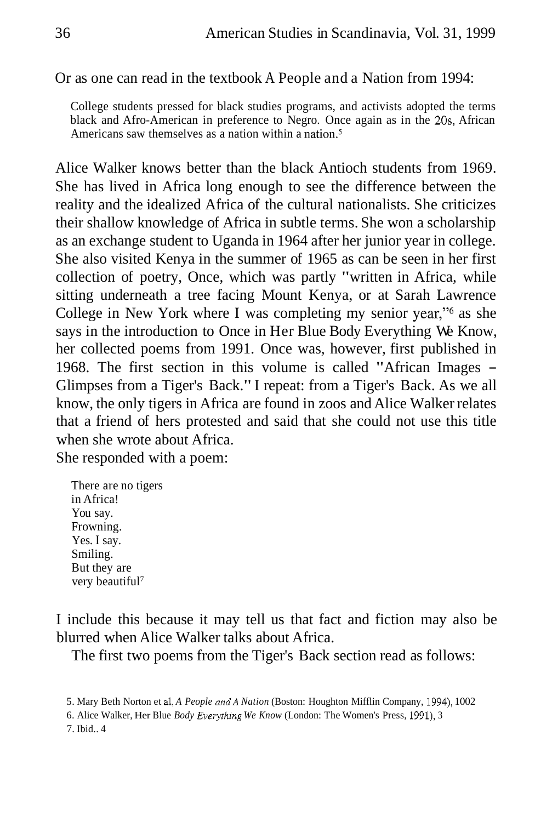#### Or as one can read in the textbook A People and a Nation from 1994:

College students pressed for black studies programs, and activists adopted the terms black and Afro-American in preference to Negro. Once again as in the 20s, African Americans saw themselves as a nation within a nation. $5$ 

Alice Walker knows better than the black Antioch students from 1969. She has lived in Africa long enough to see the difference between the reality and the idealized Africa of the cultural nationalists. She criticizes their shallow knowledge of Africa in subtle terms. She won a scholarship as an exchange student to Uganda in 1964 after her junior year in college. She also visited Kenya in the summer of 1965 as can be seen in her first collection of poetry, Once, which was partly "written in Africa, while sitting underneath a tree facing Mount Kenya, or at Sarah Lawrence College in New York where I was completing my senior year,"6 as she says in the introduction to Once in Her Blue Body Everything We Know, her collected poems from 1991. Once was, however, first published in 1968. The first section in this volume is called "African Images - Glimpses from a Tiger's Back." I repeat: from a Tiger's Back. As we all know, the only tigers in Africa are found in zoos and Alice Walker relates that a friend of hers protested and said that she could not use this title when she wrote about Africa. She responded with a poem:

There are no tigers in Africa! You say. Frowning. Yes. I say. Smiling. But they are very beautiful<sup>7</sup>

I include this because it may tell us that fact and fiction may also be blurred when Alice Walker talks about Africa.

The first two poems from the Tiger's Back section read as follows:

<sup>5.</sup> Mary Beth Norton et al, *A People andA Nation* (Boston: Houghton Mifflin Company, 1994), 1002

<sup>6.</sup> Alice Walker, Her Blue *Body Everytlzing We Know* (London: The Women's Press, 1991), 3 7. Ibid.. 4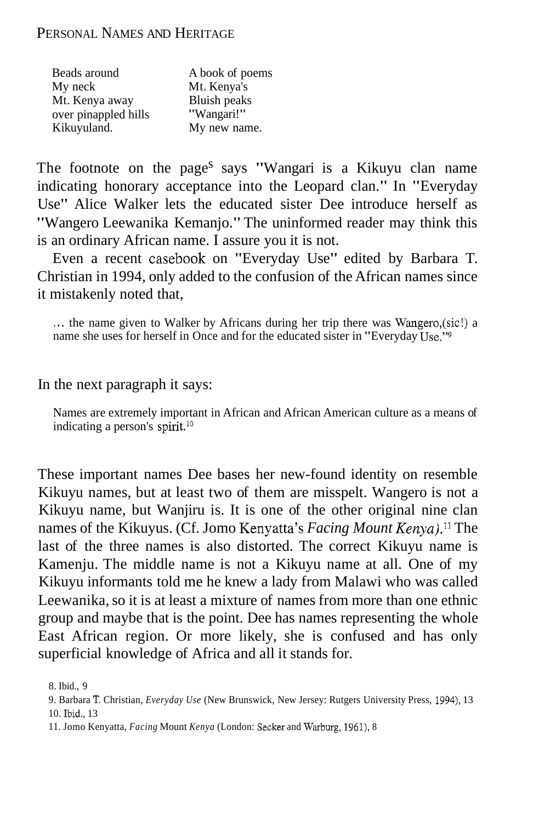## PERSONAL NAMES AND HERITAGE

| Beads around         | A book of poems |
|----------------------|-----------------|
| My neck              | Mt. Kenya's     |
| Mt. Kenya away       | Bluish peaks    |
| over pinappled hills | "Wangari!"      |
| Kikuyuland.          | My new name.    |

The footnote on the page<sup>s</sup> says "Wangari is a Kikuyu clan name indicating honorary acceptance into the Leopard clan." In "Everyday Use" Alice Walker lets the educated sister Dee introduce herself as "Wangero Leewanika Kemanjo." The uninformed reader may think this is an ordinary African name. I assure you it is not.

Even a recent casebook on "Everyday Use" edited by Barbara T. Christian in 1994, only added to the confusion of the African names since it mistakenly noted that,

. . . the name given to Walker by Africans during her trip there was Wangero,(sic!) a name she uses for herself in Once and for the educated sister in "Everyday Use."<sup>9</sup>

In the next paragraph it says:

Names are extremely important in African and African American culture as a means of indicating a person's spirit.<sup>10</sup>

These important names Dee bases her new-found identity on resemble Kikuyu names, but at least two of them are misspelt. Wangero is not a Kikuyu name, but Wanjiru is. It is one of the other original nine clan names of the Kikuyus. (Cf. Jomo Kenyatta's *Facing Mount Kenya*).<sup>11</sup> The last of the three names is also distorted. The correct Kikuyu name is Kamenju. The middle name is not a Kikuyu name at all. One of my Kikuyu informants told me he knew a lady from Malawi who was called Leewanika, so it is at least a mixture of names from more than one ethnic group and maybe that is the point. Dee has names representing the whole East African region. Or more likely, she is confused and has only superficial knowledge of Africa and all it stands for.

<sup>8.</sup> Ibid., 9

<sup>9.</sup> Barbara **T.** Christian, *Everyday Use* (New Brunswick, New Jersey: Rutgers University Press, 1994), 13 10. Ibld., 13

<sup>11.</sup> Jomo Kenyatta, *Facing* Mount *Kenya* (London: Secker and Warburg, 1961), 8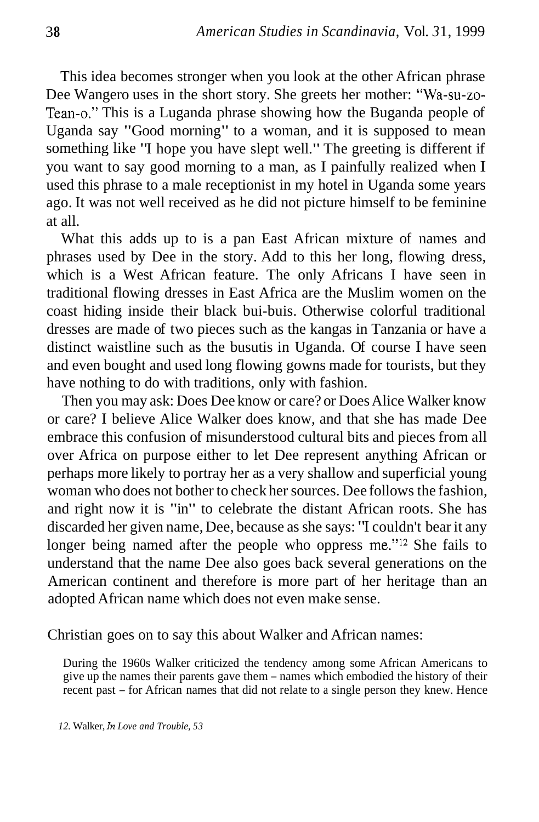This idea becomes stronger when you look at the other African phrase Dee Wangero uses in the short story. She greets her mother: "Wa-su-zo-Tean-0." This is a Luganda phrase showing how the Buganda people of Uganda say "Good morning" to a woman, and it is supposed to mean something like "I hope you have slept well." The greeting is different if you want to say good morning to a man, as I painfully realized when I used this phrase to a male receptionist in my hotel in Uganda some years ago. It was not well received as he did not picture himself to be feminine at all.

What this adds up to is a pan East African mixture of names and phrases used by Dee in the story. Add to this her long, flowing dress, which is a West African feature. The only Africans I have seen in traditional flowing dresses in East Africa are the Muslim women on the coast hiding inside their black bui-buis. Otherwise colorful traditional dresses are made of two pieces such as the kangas in Tanzania or have a distinct waistline such as the busutis in Uganda. Of course I have seen and even bought and used long flowing gowns made for tourists, but they have nothing to do with traditions, only with fashion.

Then you may ask: Does Dee know or care? or Does Alice Walker know or care? I believe Alice Walker does know, and that she has made Dee embrace this confusion of misunderstood cultural bits and pieces from all over Africa on purpose either to let Dee represent anything African or perhaps more likely to portray her as a very shallow and superficial young woman who does not bother to check her sources. Dee follows the fashion, and right now it is "in" to celebrate the distant African roots. She has discarded her given name, Dee, because as she says: "I couldn't bear it any longer being named after the people who oppress me."<sup>12</sup> She fails to understand that the name Dee also goes back several generations on the American continent and therefore is more part of her heritage than an adopted African name which does not even make sense.

Christian goes on to say this about Walker and African names:

During the 1960s Walker criticized the tendency among some African Americans to give up the names their parents gave them - names which embodied the history of their recent past – for African names that did not relate to a single person they knew. Hence

*12.* Walker, h *Love and Trouble, 53*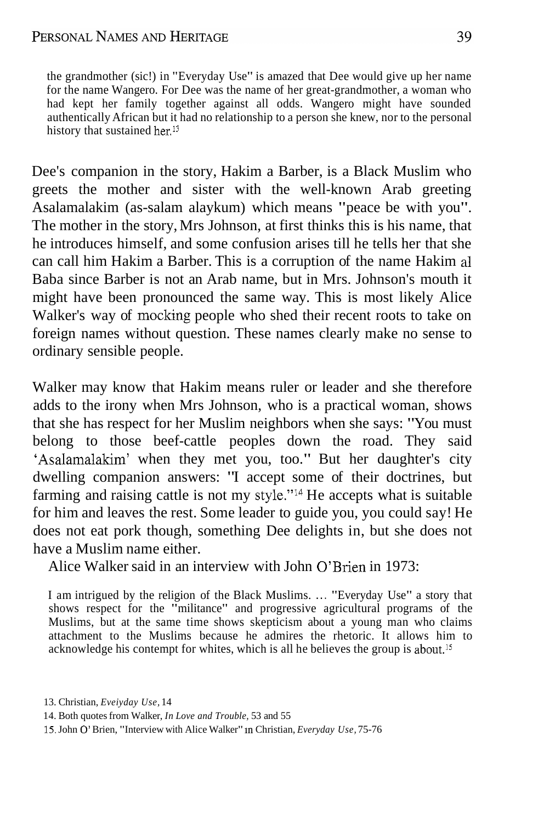## PERSONAL NAMES AND HERITAGE

the grandmother (sic!) in "Everyday Use" is amazed that Dee would give up her name for the name Wangero. For Dee was the name of her great-grandmother, a woman who had kept her family together against all odds. Wangero might have sounded authentically African but it had no relationship to a person she knew, nor to the personal history that sustained her.<sup>13</sup>

Dee's companion in the story, Hakim a Barber, is a Black Muslim who greets the mother and sister with the well-known Arab greeting Asalamalakim (as-salam alaykum) which means "peace be with you". The mother in the story, Mrs Johnson, at first thinks this is his name, that he introduces himself, and some confusion arises till he tells her that she can call him Hakim a Barber. This is a corruption of the name Hakim a1 Baba since Barber is not an Arab name, but in Mrs. Johnson's mouth it might have been pronounced the same way. This is most likely Alice Walker's way of mocking people who shed their recent roots to take on foreign names without question. These names clearly make no sense to ordinary sensible people.

Walker may know that Hakim means ruler or leader and she therefore adds to the irony when Mrs Johnson, who is a practical woman, shows that she has respect for her Muslim neighbors when she says: "You must belong to those beef-cattle peoples down the road. They said 'Asalamalakim' when they met you, too." But her daughter's city dwelling companion answers: "I accept some of their doctrines, but farming and raising cattle is not my style."14 He accepts what is suitable for him and leaves the rest. Some leader to guide you, you could say! He does not eat pork though, something Dee delights in, but she does not have a Muslim name either.

Alice Walker said in an interview with John O'Brien in 1973:

I am intrigued by the religion of the Black Muslims. ... "Everyday Use" a story that shows respect for the "militance" and progressive agricultural programs of the Muslims, but at the same time shows skepticism about a young man who claims attachment to the Muslims because he admires the rhetoric. It allows him to acknowledge his contempt for whites, which is all he believes the group is about.15

<sup>13.</sup> Christian, *Eveiyday Use,* 14

<sup>14.</sup> Both quotes from Walker, *In Love and Trouble,* 53 and 55

<sup>15.</sup> John 0' Brien, "Interview with Alice Walker" In Christian, *Everyday Use,* 75-76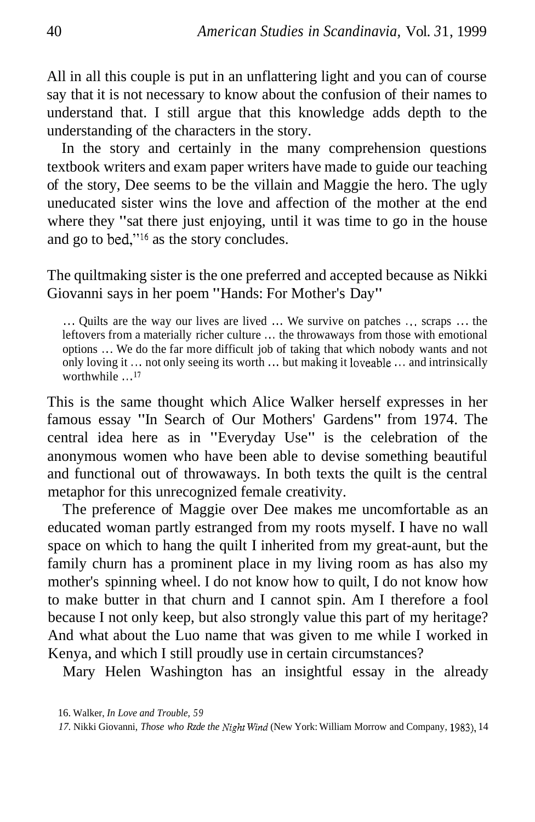All in all this couple is put in an unflattering light and you can of course say that it is not necessary to know about the confusion of their names to understand that. I still argue that this knowledge adds depth to the understanding of the characters in the story.

In the story and certainly in the many comprehension questions textbook writers and exam paper writers have made to guide our teaching of the story, Dee seems to be the villain and Maggie the hero. The ugly uneducated sister wins the love and affection of the mother at the end where they "sat there just enjoying, until it was time to go in the house and go to bed,"16 as the story concludes.

The quiltmaking sister is the one preferred and accepted because as Nikki Giovanni says in her poem "Hands: For Mother's Day"

... Quilts are the way our lives are lived ... We survive on patches ... scraps ... the leftovers from a materially richer culture ... the throwaways from those with emotional options . . . We do the far more difficult job of taking that which nobody wants and not only loving it ... not only seeing its worth ... but making it loveable ... and intrinsically worthwhile . . . *'7* 

This is the same thought which Alice Walker herself expresses in her famous essay "In Search of Our Mothers' Gardens" from 1974. The central idea here as in "Everyday Use" is the celebration of the anonymous women who have been able to devise something beautiful and functional out of throwaways. In both texts the quilt is the central metaphor for this unrecognized female creativity.

The preference of Maggie over Dee makes me uncomfortable as an educated woman partly estranged from my roots myself. I have no wall space on which to hang the quilt I inherited from my great-aunt, but the family churn has a prominent place in my living room as has also my mother's spinning wheel. I do not know how to quilt, I do not know how to make butter in that churn and I cannot spin. Am I therefore a fool because I not only keep, but also strongly value this part of my heritage? And what about the Luo name that was given to me while I worked in Kenya, and which I still proudly use in certain circumstances?

Mary Helen Washington has an insightful essay in the already

<sup>16.</sup> Walker, *In Love and Trouble, 59* 

<sup>17.</sup> Nikki Giovanni, *Those who Rzde the Night Wind* (New York: William Morrow and Company, 1983), 14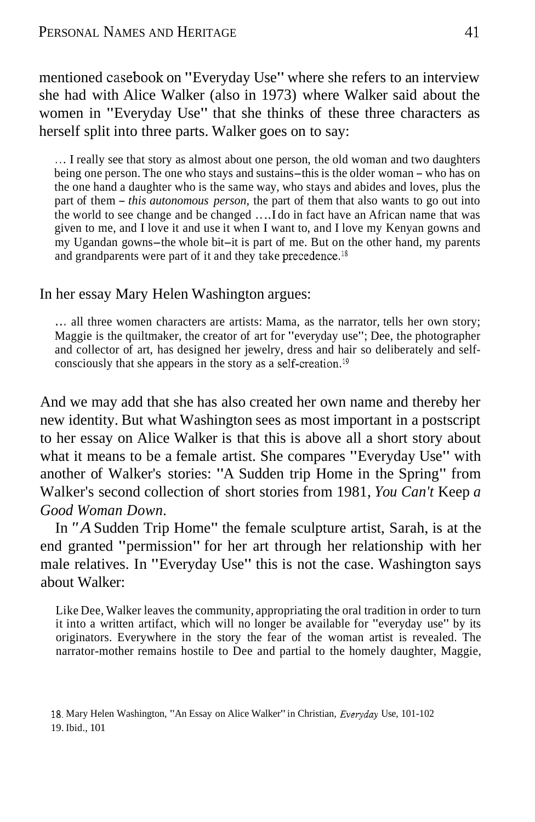mentioned casebook on "Everyday Use" where she refers to an interview she had with Alice Walker (also in 1973) where Walker said about the women in "Everyday Use" that she thinks of these three characters as herself split into three parts. Walker goes on to say:

. . . I really see that story as almost about one person, the old woman and two daughters being one person. The one who stays and sustains-this is the older woman - who has on the one hand a daughter who is the same way, who stays and abides and loves, plus the part of them - *this autonomous person,* the part of them that also wants to go out into the world to see change and be changed . . ..I do in fact have an African name that was given to me, and I love it and use it when I want to, and I love my Kenyan gowns and my Ugandan gowns-the whole bit-it is part of me. But on the other hand, my parents and grandparents were part of it and they take precedence.<sup>18</sup>

#### In her essay Mary Helen Washington argues:

... all three women characters are artists: Mama, as the narrator, tells her own story; Maggie is the quiltmaker, the creator of art for "everyday use"; Dee, the photographer and collector of art, has designed her jewelry, dress and hair so deliberately and selfconsciously that she appears in the story as a self-creation.<sup>19</sup>

And we may add that she has also created her own name and thereby her new identity. But what Washington sees as most important in a postscript to her essay on Alice Walker is that this is above all a short story about what it means to be a female artist. She compares "Everyday Use" with another of Walker's stories: "A Sudden trip Home in the Spring" from Walker's second collection of short stories from 1981, *You Can't* Keep *a Good Woman Down.* 

In *"A* Sudden Trip Home" the female sculpture artist, Sarah, is at the end granted "permission" for her art through her relationship with her male relatives. In "Everyday Use" this is not the case. Washington says about Walker:

Like Dee, Walker leaves the community, appropriating the oral tradition in order to turn it into a written artifact, which will no longer be available for "everyday use" by its originators. Everywhere in the story the fear of the woman artist is revealed. The narrator-mother remains hostile to Dee and partial to the homely daughter, Maggie,